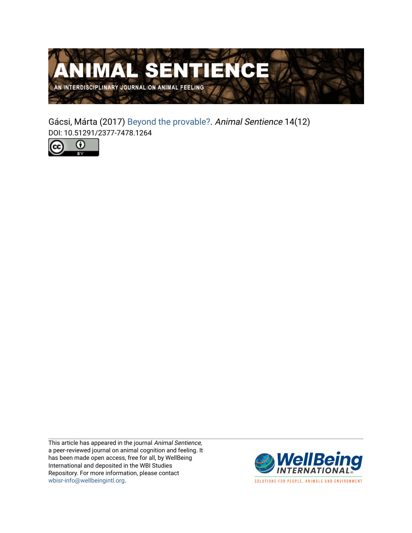

Gácsi, Márta (2017) [Beyond the provable?.](https://www.wellbeingintlstudiesrepository.org/animsent/vol2/iss14/12) Animal Sentience 14(12) DOI: 10.51291/2377-7478.1264



This article has appeared in the journal Animal Sentience, a peer-reviewed journal on animal cognition and feeling. It has been made open access, free for all, by WellBeing International and deposited in the WBI Studies Repository. For more information, please contact [wbisr-info@wellbeingintl.org](mailto:wbisr-info@wellbeingintl.org).



SOLUTIONS FOR PEOPLE, ANIMALS AND ENVIRONMENT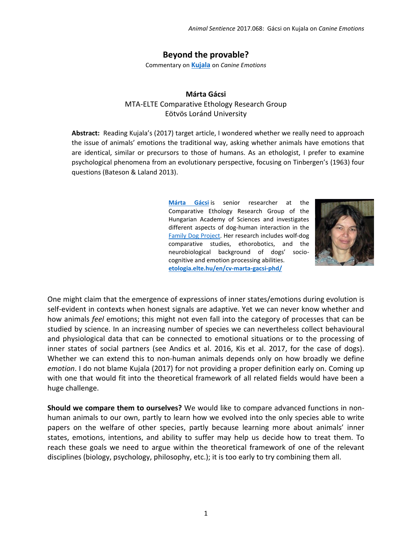## **Beyond the provable?**

Commentary on **[Kujala](http://animalstudiesrepository.org/animsent/vol2/iss14/1/)** on *Canine Emotions*

## **Márta Gácsi** MTA-ELTE Comparative Ethology Research Group Eötvös Loránd University

**Abstract:** Reading Kujala's (2017) target article, I wondered whether we really need to approach the issue of animals' emotions the traditional way, asking whether animals have emotions that are identical, similar or precursors to those of humans. As an ethologist, I prefer to examine psychological phenomena from an evolutionary perspective, focusing on Tinbergen's (1963) four questions (Bateson & Laland 2013).

> **[Márta Gácsi](mailto:marta.gacsi@gmail.com)** is senior researcher at the Comparative Ethology Research Group of the Hungarian Academy of Sciences and investigates different aspects of dog-human interaction in the [Family Dog Project.](https://familydogproject.elte.hu/) Her research includes wolf-dog comparative studies, ethorobotics, and the neurobiological background of dogs' sociocognitive and emotion processing abilities. **[etologia.elte.hu/en/cv-marta-gacsi-phd/](http://etologia.elte.hu/en/cv-marta-gacsi-phd/)**



One might claim that the emergence of expressions of inner states/emotions during evolution is self-evident in contexts when honest signals are adaptive. Yet we can never know whether and how animals *feel* emotions; this might not even fall into the category of processes that can be studied by science. In an increasing number of species we can nevertheless collect behavioural and physiological data that can be connected to emotional situations or to the processing of inner states of social partners (see Andics et al. 2016, Kis et al. 2017, for the case of dogs). Whether we can extend this to non-human animals depends only on how broadly we define *emotion*. I do not blame Kujala (2017) for not providing a proper definition early on. Coming up with one that would fit into the theoretical framework of all related fields would have been a huge challenge.

**Should we compare them to ourselves?** We would like to compare advanced functions in nonhuman animals to our own, partly to learn how we evolved into the only species able to write papers on the welfare of other species, partly because learning more about animals' inner states, emotions, intentions, and ability to suffer may help us decide how to treat them. To reach these goals we need to argue within the theoretical framework of one of the relevant disciplines (biology, psychology, philosophy, etc.); it is too early to try combining them all.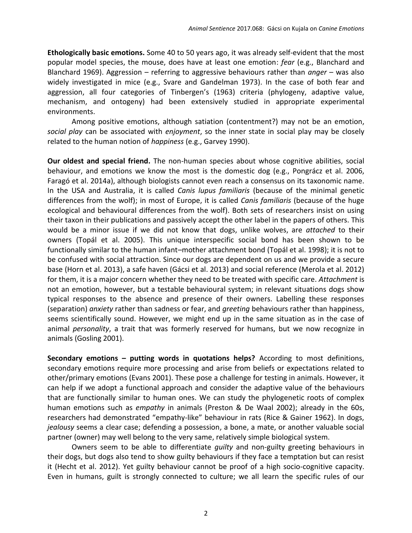**Ethologically basic emotions.** Some 40 to 50 years ago, it was already self-evident that the most popular model species, the mouse, does have at least one emotion: *fear* (e.g., Blanchard and Blanchard 1969). Aggression – referring to aggressive behaviours rather than *anger* – was also widely investigated in mice (e.g., Svare and Gandelman 1973). In the case of both fear and aggression, all four categories of Tinbergen's (1963) criteria (phylogeny, adaptive value, mechanism, and ontogeny) had been extensively studied in appropriate experimental environments.

Among positive emotions, although satiation (contentment?) may not be an emotion, *social play* can be associated with *enjoyment*, so the inner state in social play may be closely related to the human notion of *happiness* (e.g., Garvey 1990).

**Our oldest and special friend.** The non-human species about whose cognitive abilities, social behaviour, and emotions we know the most is the domestic dog (e.g., Pongrácz et al. 2006, Faragó et al. 2014a), although biologists cannot even reach a consensus on its taxonomic name. In the USA and Australia, it is called *Canis lupus familiaris* (because of the minimal genetic differences from the wolf); in most of Europe, it is called *Canis familiaris* (because of the huge ecological and behavioural differences from the wolf). Both sets of researchers insist on using their taxon in their publications and passively accept the other label in the papers of others. This would be a minor issue if we did not know that dogs, unlike wolves, are *attached* to their owners (Topál et al. 2005). This unique interspecific social bond has been shown to be functionally similar to the human infant–mother attachment bond (Topál et al. 1998); it is not to be confused with social attraction. Since our dogs are dependent on us and we provide a secure base (Horn et al. 2013), a safe haven (Gácsi et al. 2013) and social reference (Merola et al. 2012) for them, it is a major concern whether they need to be treated with specific care. *Attachment* is not an emotion, however, but a testable behavioural system; in relevant situations dogs show typical responses to the absence and presence of their owners. Labelling these responses (separation) *anxiety* rather than sadness or fear, and *greeting* behaviours rather than happiness, seems scientifically sound. However, we might end up in the same situation as in the case of animal *personality*, a trait that was formerly reserved for humans, but we now recognize in animals (Gosling 2001).

**Secondary emotions – putting words in quotations helps?** According to most definitions, secondary emotions require more processing and arise from beliefs or expectations related to other/primary emotions (Evans 2001). These pose a challenge for testing in animals. However, it can help if we adopt a functional approach and consider the adaptive value of the behaviours that are functionally similar to human ones. We can study the phylogenetic roots of complex human emotions such as *empathy* in animals (Preston & De Waal 2002); already in the 60s, researchers had demonstrated "empathy-like" behaviour in rats (Rice & Gainer 1962). In dogs, *jealousy* seems a clear case; defending a possession, a bone, a mate, or another valuable social partner (owner) may well belong to the very same, relatively simple biological system.

Owners seem to be able to differentiate *guilty* and non-guilty greeting behaviours in their dogs, but dogs also tend to show guilty behaviours if they face a temptation but can resist it (Hecht et al. 2012). Yet guilty behaviour cannot be proof of a high socio-cognitive capacity. Even in humans, guilt is strongly connected to culture; we all learn the specific rules of our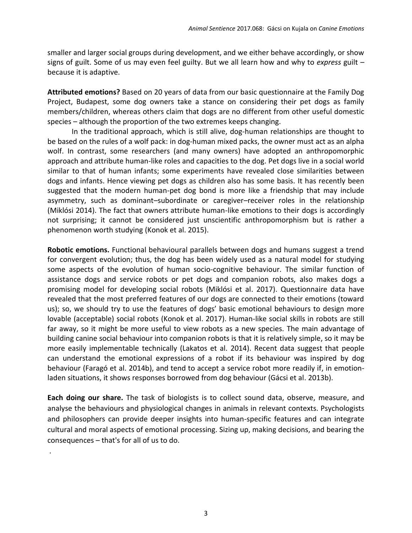smaller and larger social groups during development, and we either behave accordingly, or show signs of guilt. Some of us may even feel guilty. But we all learn how and why to *express* guilt – because it is adaptive.

**Attributed emotions?** Based on 20 years of data from our basic questionnaire at the Family Dog Project, Budapest, some dog owners take a stance on considering their pet dogs as family members/children, whereas others claim that dogs are no different from other useful domestic species – although the proportion of the two extremes keeps changing.

In the traditional approach, which is still alive, dog-human relationships are thought to be based on the rules of a wolf pack: in dog-human mixed packs, the owner must act as an alpha wolf. In contrast, some researchers (and many owners) have adopted an anthropomorphic approach and attribute human-like roles and capacities to the dog. Pet dogs live in a social world similar to that of human infants; some experiments have revealed close similarities between dogs and infants. Hence viewing pet dogs as children also has some basis. It has recently been suggested that the modern human-pet dog bond is more like a friendship that may include asymmetry, such as dominant–subordinate or caregiver–receiver roles in the relationship (Miklósi 2014). The fact that owners attribute human-like emotions to their dogs is accordingly not surprising; it cannot be considered just unscientific anthropomorphism but is rather a phenomenon worth studying (Konok et al. 2015).

**Robotic emotions.** Functional behavioural parallels between dogs and humans suggest a trend for convergent evolution; thus, the dog has been widely used as a natural model for studying some aspects of the evolution of human socio-cognitive behaviour. The similar function of assistance dogs and service robots or pet dogs and companion robots, also makes dogs a promising model for developing social robots (Miklósi et al. 2017). Questionnaire data have revealed that the most preferred features of our dogs are connected to their emotions (toward us); so, we should try to use the features of dogs' basic emotional behaviours to design more lovable (acceptable) social robots (Konok et al. 2017). Human-like social skills in robots are still far away, so it might be more useful to view robots as a new species. The main advantage of building canine social behaviour into companion robots is that it is relatively simple, so it may be more easily implementable technically (Lakatos et al. 2014). Recent data suggest that people can understand the emotional expressions of a robot if its behaviour was inspired by dog behaviour (Faragó et al. 2014b), and tend to accept a service robot more readily if, in emotionladen situations, it shows responses borrowed from dog behaviour (Gácsi et al. 2013b).

**Each doing our share.** The task of biologists is to collect sound data, observe, measure, and analyse the behaviours and physiological changes in animals in relevant contexts. Psychologists and philosophers can provide deeper insights into human-specific features and can integrate cultural and moral aspects of emotional processing. Sizing up, making decisions, and bearing the consequences – that's for all of us to do.

.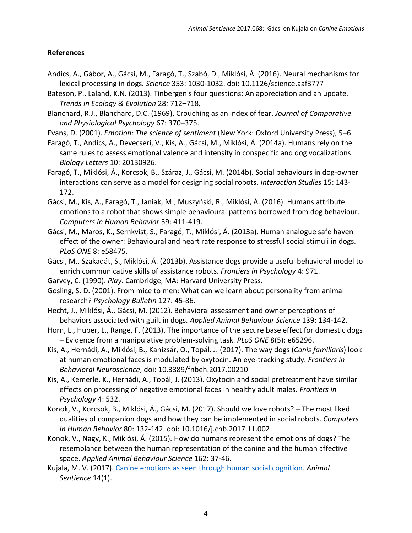## **References**

- [Andics, A., Gábor, A., Gácsi, M., Faragó, T., Szabó, D., Miklósi, Á. \(2016\). Neural mechanisms for](http://science.sciencemag.org/node/683418.full?ijkey=KeaGMhsC391gE&keytype=ref&siteid=sci)  lexical processing in dogs. *Science* [353: 1030-1032. doi: 10.1126/science.aaf3777](http://science.sciencemag.org/node/683418.full?ijkey=KeaGMhsC391gE&keytype=ref&siteid=sci)
- Bateson, P., Laland, K.N. (2013). Tinbergen's four questions: An appreciation and an update*. Trends in Ecology & Evolution* 28*:* 712*–*718*,*
- Blanchard, R.J., Blanchard, D.C. (1969). Crouching as an index of fear. *Journal of Comparative and Physiological Psychology* 67: 370–375.
- Evans, D. (2001). *Emotion: The science of sentiment* (New York: Oxford University Press), 5–6.
- Faragó, T., Andics, A., Devecseri, V., Kis, A., Gácsi, M., Miklósi, Á. (2014a). Humans rely on the same rules to assess emotional valence and intensity in conspecific and dog vocalizations. *Biology Letters* 10: 20130926.
- Faragó, T., Miklósi, Á., Korcsok, B., Száraz, J., Gácsi, M. (2014b). Social behaviours in dog-owner interactions can serve as a model for designing social robots. *Interaction Studies* 15: 143- 172.
- Gácsi, M., Kis, A., Faragó, T., Janiak, M., Muszyński, R., Miklósi, Á. (2016). Humans attribute emotions to a robot that shows simple behavioural patterns borrowed from dog behaviour. *Computers in Human Behavior* 59: 411-419.
- Gácsi, M., Maros, K., Sernkvist, S., Faragó, T., Miklósi, Á. (2013a). Human analogue safe haven effect of the owner: Behavioural and heart rate response to stressful social stimuli in dogs. *PLoS ONE* 8: e58475.
- Gácsi, M., Szakadát, S., Miklósi, Á. (2013b). Assistance dogs provide a useful behavioral model to enrich communicative skills of assistance robots. *Frontiers in Psychology* 4: 971.
- Garvey, C. (1990). *Play*. Cambridge, MA: Harvard University Press.
- Gosling, S. D. (2001). From mice to men: What can we learn about personality from animal research? *Psychology Bulletin* 127: 45-86.
- Hecht, J., Miklósi, Á., Gácsi, M. (2012). Behavioral assessment and owner perceptions of behaviors associated with guilt in dogs. *Applied Animal Behaviour Science* 139: 134-142.
- Horn, L., Huber, L., Range, F. (2013). The importance of the secure base effect for domestic dogs – Evidence from a manipulative problem-solving task. *PLoS ONE* 8(5): e65296.
- Kis, A., Hernádi, A., Miklósi, B., Kanizsár, O., Topál. J. (2017). The way dogs (*Canis familiaris*) look at human emotional faces is modulated by oxytocin. An eye-tracking study. *Frontiers in Behavioral Neuroscience*, doi: 10.3389/fnbeh.2017.00210
- [Kis, A., Kemerle, K., Hernádi, A., Topál, J. \(2013\). Oxytocin and social pretreatment have similar](http://etologia.elte.hu/file/publikaciok/2013/KisKHT2013.pdf)  [effects on processing of negative emotional faces in healthy adult males.](http://etologia.elte.hu/file/publikaciok/2013/KisKHT2013.pdf) *Frontiers in [Psychology](http://etologia.elte.hu/file/publikaciok/2013/KisKHT2013.pdf)* 4: 532.
- Konok, V., Korcsok, B., Miklósi, Á., Gácsi, M. (2017). Should we love robots? The most liked qualities of companion dogs and how they can be implemented in social robots. *Computers in Human Behavior* 80: 132-142. doi: 10.1016/j.chb.2017.11.002
- Konok, V., Nagy, K., Miklósi, Á. (2015). How do humans represent the emotions of dogs? The resemblance between the human representation of the canine and the human affective space. *Applied Animal Behaviour Science* 162: 37-46.
- Kujala, M. V. (2017). [Canine emotions as seen through human social cognition.](http://animalstudiesrepository.org/animsent/vol2/iss14/1/) *Animal Sentience* 14(1).